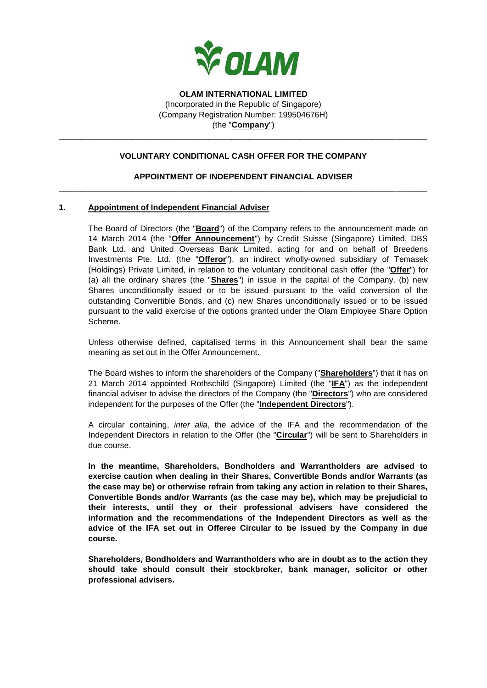

### **VOLUNTARY CONDITIONAL CASH OFFER FOR THE COMPANY**

\_\_\_\_\_\_\_\_\_\_\_\_\_\_\_\_\_\_\_\_\_\_\_\_\_\_\_\_\_\_\_\_\_\_\_\_\_\_\_\_\_\_\_\_\_\_\_\_\_\_\_\_\_\_\_\_\_\_\_\_\_\_\_\_\_\_\_\_\_\_\_\_\_\_\_\_\_\_\_\_\_

# **APPOINTMENT OF INDEPENDENT FINANCIAL ADVISER** \_\_\_\_\_\_\_\_\_\_\_\_\_\_\_\_\_\_\_\_\_\_\_\_\_\_\_\_\_\_\_\_\_\_\_\_\_\_\_\_\_\_\_\_\_\_\_\_\_\_\_\_\_\_\_\_\_\_\_\_\_\_\_\_\_\_\_\_\_\_\_\_\_\_\_\_\_\_\_\_\_

#### **1. Appointment of Independent Financial Adviser**

The Board of Directors (the "**Board**") of the Company refers to the announcement made on 14 March 2014 (the "**Offer Announcement**") by Credit Suisse (Singapore) Limited, DBS Bank Ltd. and United Overseas Bank Limited, acting for and on behalf of Breedens Investments Pte. Ltd. (the "**Offeror**"), an indirect wholly-owned subsidiary of Temasek (Holdings) Private Limited, in relation to the voluntary conditional cash offer (the "**Offer**") for (a) all the ordinary shares (the "**Shares**") in issue in the capital of the Company, (b) new Shares unconditionally issued or to be issued pursuant to the valid conversion of the outstanding Convertible Bonds, and (c) new Shares unconditionally issued or to be issued pursuant to the valid exercise of the options granted under the Olam Employee Share Option Scheme.

Unless otherwise defined, capitalised terms in this Announcement shall bear the same meaning as set out in the Offer Announcement.

The Board wishes to inform the shareholders of the Company ("**Shareholders**") that it has on 21 March 2014 appointed Rothschild (Singapore) Limited (the "**IFA**") as the independent financial adviser to advise the directors of the Company (the "**Directors**") who are considered independent for the purposes of the Offer (the "**Independent Directors**").

A circular containing, *inter alia*, the advice of the IFA and the recommendation of the Independent Directors in relation to the Offer (the "**Circular**") will be sent to Shareholders in due course.

**In the meantime, Shareholders, Bondholders and Warrantholders are advised to exercise caution when dealing in their Shares, Convertible Bonds and/or Warrants (as the case may be) or otherwise refrain from taking any action in relation to their Shares, Convertible Bonds and/or Warrants (as the case may be), which may be prejudicial to their interests, until they or their professional advisers have considered the information and the recommendations of the Independent Directors as well as the advice of the IFA set out in Offeree Circular to be issued by the Company in due course.**

**Shareholders, Bondholders and Warrantholders who are in doubt as to the action they should take should consult their stockbroker, bank manager, solicitor or other professional advisers.**